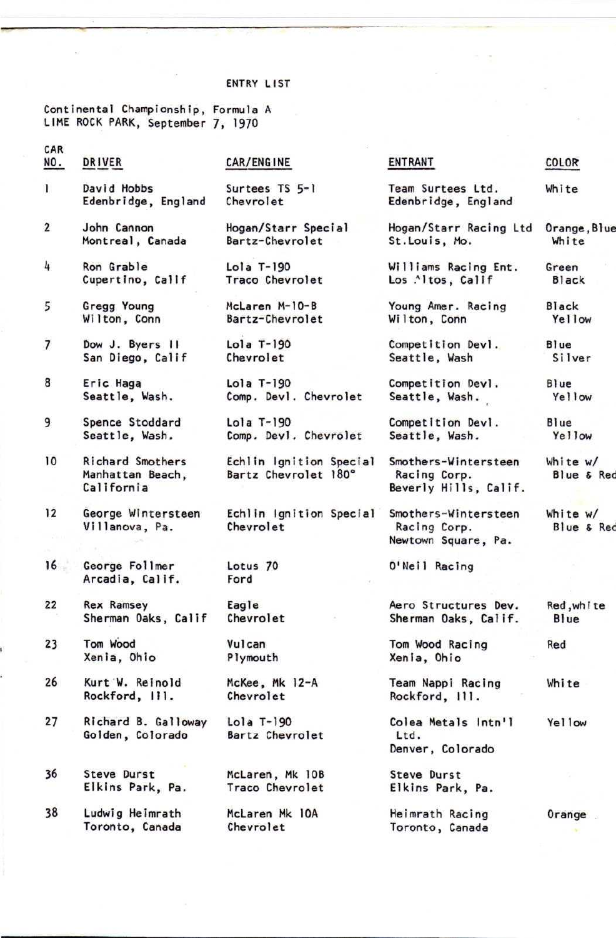## ENTRY LIST

Continental Championship, Formula A<br>LIME ROCK PARK, September 7, 1970

| CAR            |                                                    |                                                 |                                                               |                        |
|----------------|----------------------------------------------------|-------------------------------------------------|---------------------------------------------------------------|------------------------|
| NO.            | DRIVER                                             | CAR/ENGINE                                      | <b>ENTRANT</b>                                                | COLOR                  |
| $\mathbf{I}$   | David Hobbs<br>Edenbridge, England                 | Surtees TS 5-1<br>Chevrolet                     | Team Surtees Ltd.<br>Edenbridge, England                      | White                  |
| $\overline{2}$ | John Cannon<br>Montreal, Canada                    | Hogan/Starr Special<br>Bartz-Chevrolet          | Hogan/Starr Racing Ltd<br>St.Louis, Mo.                       | Orange, Blue<br>White  |
| 4              | Ron Grable<br>Cupertino, Callf                     | $Lola$ T-190<br>Traco Chevrolet                 | Williams Racing Ent.<br>Los .^ltos, Calif                     | Green<br><b>Black</b>  |
| 5              | Gregg Young<br>Wilton, Conn                        | McLaren M-10-B<br>Bartz-Chevrolet               | Young Amer. Racing<br>Wilton, Conn                            | <b>Black</b><br>Yellow |
| 7              | Dow J. Byers II<br>San Diego, Calif                | $Lola$ T-190<br>Chevrolet                       | Competition Devl.<br>Seattle, Wash                            | Blue<br>Silver         |
| 8              | Eric Haga<br>Seattle, Wash.                        | Lola T-190<br>Comp. Devl. Chevrolet             | Competition Devl.<br>Seattle, Wash.                           | Blue<br>Yellow         |
| 9              | Spence Stoddard<br>Seattle, Wash.                  | Lola T-190<br>Comp. Devl. Chevrolet             | Competition Devi.<br>Seattle, Wash.                           | Blue<br>Yellow         |
| 10             | Richard Smothers<br>Manhattan Beach,<br>California | Echlin Ignition Special<br>Bartz Chevrolet 180° | Smothers-Wintersteen<br>Racing Corp.<br>Beverly Hills, Calif. | White w/<br>Blue & Red |
| 12             | George Wintersteen<br>Villanova, Pa.               | Echlin Ignition Special<br>Chevrolet            | Smothers-Wintersteen<br>Racing Corp.<br>Newtown Square, Pa.   | White w/<br>Blue & Red |
| 16             | George Follmer<br>Arcadia, Calif.                  | Lotus <sub>70</sub><br>Ford                     | O'Neil Racing                                                 |                        |
| 22             | <b>Rex Ramsey</b><br>Sherman Oaks, Calif           | Eagle<br>Chevrolet                              | Aero Structures Dev.<br>Sherman Oaks, Calif.                  | Red, white<br>Blue     |
| 23             | Tom Wood<br>Xenia, Ohio                            | Vulcan<br>Plymouth                              | Tom Wood Racing<br>Xenia, Ohio                                | Red                    |
| 26             | Kurt W. Reinold<br>Rockford, III.                  | McKee, Mk 12-A<br>Chevrolet                     | Team Nappi Racing<br>Rockford, 111.                           | White                  |
| 27             | Richard B. Galloway<br>Golden, Colorado            | $Lola$ $T-190$<br>Bartz Chevrolet               | Colea Metals Intn'l<br>Ltd.<br>Denver, Colorado               | Yellow                 |
| 36             | Steve Durst<br>Elkins Park, Pa.                    | McLaren, Mk 10B<br>Traco Chevrolet              | Steve Durst<br>Elkins Park, Pa.                               |                        |
| 38             | Ludwig Heimrath<br>Toronto, Canada                 | McLaren Mk 10A<br>Chevrolet                     | Heimrath Racing<br>Toronto, Canada                            | Orange                 |
|                |                                                    |                                                 |                                                               |                        |